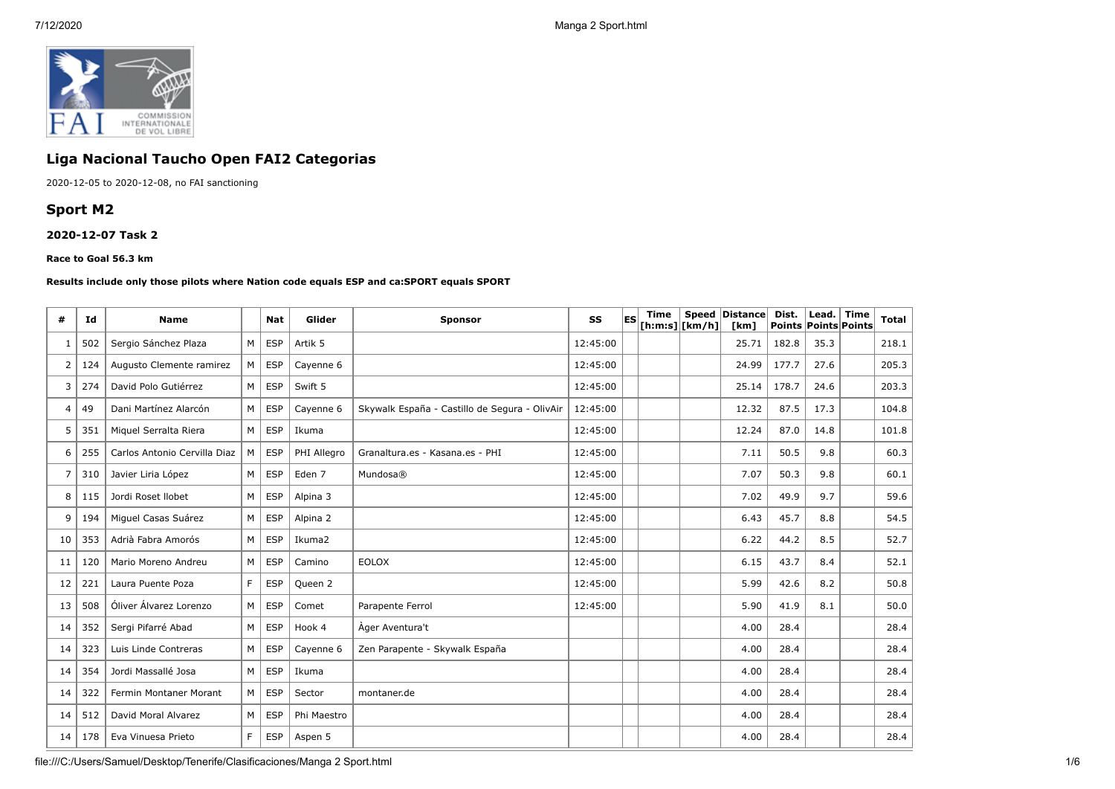

# **Liga Nacional Taucho Open FAI2 Categorias**

2020-12-05 to 2020-12-08, no FAI sanctioning

## **Sport M2**

**2020-12-07 Task 2**

#### **Race to Goal 56.3 km**

#### **Results include only those pilots where Nation code equals ESP and ca:SPORT equals SPORT**

| #  | Id  | <b>Name</b>                  |    | <b>Nat</b> | Glider            | <b>Sponsor</b>                                | SS       | lES. | <b>Time</b> | [ h: m: s]   [ km/h] | Speed Distance<br>[km] | Dist. | Lead.<br>Points Points Points | Time | <b>Total</b> |
|----|-----|------------------------------|----|------------|-------------------|-----------------------------------------------|----------|------|-------------|----------------------|------------------------|-------|-------------------------------|------|--------------|
|    | 502 | Sergio Sánchez Plaza         | M  | <b>ESP</b> | Artik 5           |                                               | 12:45:00 |      |             |                      | 25.71                  | 182.8 | 35.3                          |      | 218.1        |
| 2  | 124 | Augusto Clemente ramirez     | M  | <b>ESP</b> | Cayenne 6         |                                               | 12:45:00 |      |             |                      | 24.99                  | 177.7 | 27.6                          |      | 205.3        |
| 3  | 274 | David Polo Gutiérrez         | M  | <b>ESP</b> | Swift 5           |                                               | 12:45:00 |      |             |                      | 25.14                  | 178.7 | 24.6                          |      | 203.3        |
| 4  | 49  | Dani Martínez Alarcón        | M  | <b>ESP</b> | Cayenne 6         | Skywalk España - Castillo de Segura - OlivAir | 12:45:00 |      |             |                      | 12.32                  | 87.5  | 17.3                          |      | 104.8        |
| 5  | 351 | Miquel Serralta Riera        | M  | <b>ESP</b> | Ikuma             |                                               | 12:45:00 |      |             |                      | 12.24                  | 87.0  | 14.8                          |      | 101.8        |
| 6  | 255 | Carlos Antonio Cervilla Diaz | M  | <b>ESP</b> | PHI Allegro       | Granaltura.es - Kasana.es - PHI               | 12:45:00 |      |             |                      | 7.11                   | 50.5  | 9.8                           |      | 60.3         |
| 7  | 310 | Javier Liria López           | M  | <b>ESP</b> | Eden <sub>7</sub> | Mundosa®                                      | 12:45:00 |      |             |                      | 7.07                   | 50.3  | 9.8                           |      | 60.1         |
| 8  | 115 | Jordi Roset Ilobet           | M  | <b>ESP</b> | Alpina 3          |                                               | 12:45:00 |      |             |                      | 7.02                   | 49.9  | 9.7                           |      | 59.6         |
| 9  | 194 | Miquel Casas Suárez          | M  | <b>ESP</b> | Alpina 2          |                                               | 12:45:00 |      |             |                      | 6.43                   | 45.7  | 8.8                           |      | 54.5         |
| 10 | 353 | Adrià Fabra Amorós           | M  | <b>ESP</b> | Ikuma2            |                                               | 12:45:00 |      |             |                      | 6.22                   | 44.2  | 8.5                           |      | 52.7         |
| 11 | 120 | Mario Moreno Andreu          | M  | <b>ESP</b> | Camino            | <b>EOLOX</b>                                  | 12:45:00 |      |             |                      | 6.15                   | 43.7  | 8.4                           |      | 52.1         |
| 12 | 221 | Laura Puente Poza            | F. | <b>ESP</b> | Queen 2           |                                               | 12:45:00 |      |             |                      | 5.99                   | 42.6  | 8.2                           |      | 50.8         |
| 13 | 508 | Óliver Álvarez Lorenzo       | M  | <b>ESP</b> | Comet             | Parapente Ferrol                              | 12:45:00 |      |             |                      | 5.90                   | 41.9  | 8.1                           |      | 50.0         |
| 14 | 352 | Sergi Pifarré Abad           | M  | <b>ESP</b> | Hook 4            | Ager Aventura't                               |          |      |             |                      | 4.00                   | 28.4  |                               |      | 28.4         |
| 14 | 323 | Luis Linde Contreras         | M  | <b>ESP</b> | Cayenne 6         | Zen Parapente - Skywalk España                |          |      |             |                      | 4.00                   | 28.4  |                               |      | 28.4         |
| 14 | 354 | Jordi Massallé Josa          | M  | <b>ESP</b> | Ikuma             |                                               |          |      |             |                      | 4.00                   | 28.4  |                               |      | 28.4         |
| 14 | 322 | Fermin Montaner Morant       | M  | <b>ESP</b> | Sector            | montaner.de                                   |          |      |             |                      | 4.00                   | 28.4  |                               |      | 28.4         |
| 14 | 512 | David Moral Alvarez          | М  | <b>ESP</b> | Phi Maestro       |                                               |          |      |             |                      | 4.00                   | 28.4  |                               |      | 28.4         |
| 14 | 178 | Eva Vinuesa Prieto           | F. | <b>ESP</b> | Aspen 5           |                                               |          |      |             |                      | 4.00                   | 28.4  |                               |      | 28.4         |

file:///C:/Users/Samuel/Desktop/Tenerife/Clasificaciones/Manga 2 Sport.html 1/6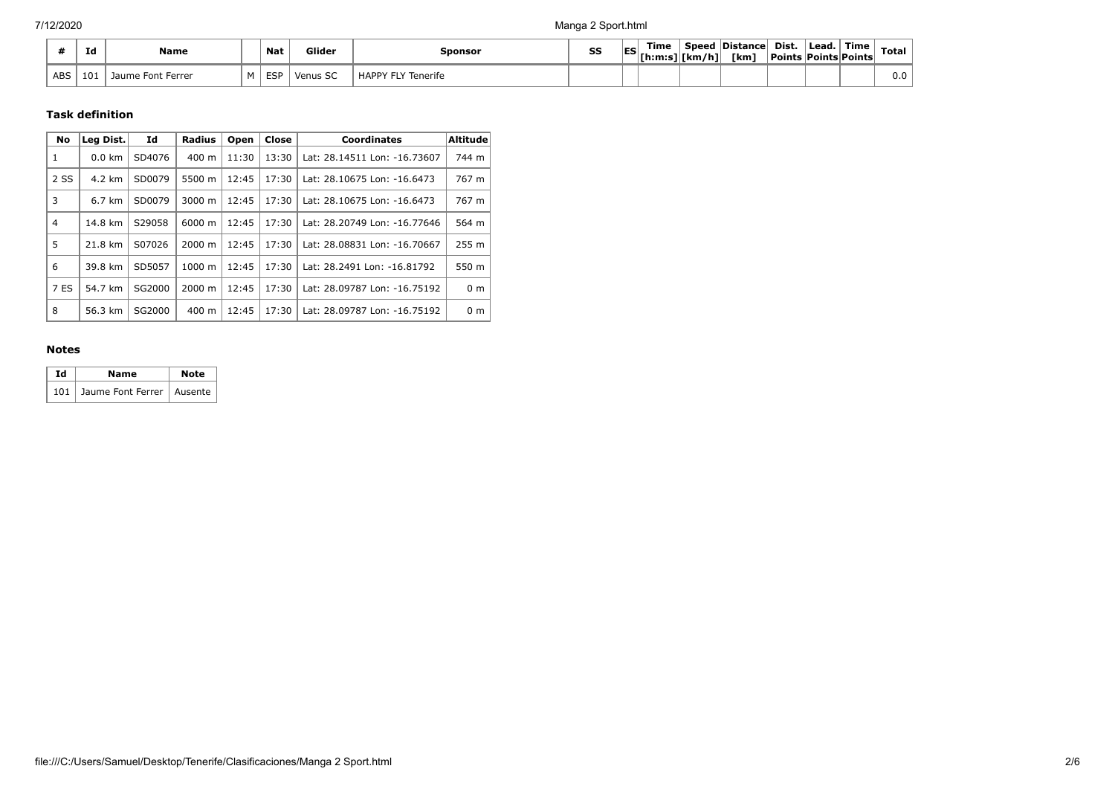|     | Ιd  | <b>Name</b>       | <b>Nat</b> | Glider             | Sponsor                   | SS | Time<br>$\mathsf{ES}$ $\vert_{\mathsf{[h:m:s] _{\mathsf{[h,m:s]}}}}$ | Speed<br>.<br>[km/h]∣ | Distance <br><b>Tkm</b> | Dist.<br>  Points   Points   Points | <sup>I</sup> Lead. | ้ Time | <b>Total</b> |
|-----|-----|-------------------|------------|--------------------|---------------------------|----|----------------------------------------------------------------------|-----------------------|-------------------------|-------------------------------------|--------------------|--------|--------------|
| ABS | 101 | Jaume Font Ferrer | FSD        | $\sim$<br>Venus SC | <b>HAPPY FLY Tenerife</b> |    |                                                                      |                       |                         |                                     |                    |        | 0.0          |

#### **Task definition**

| <b>No</b> | Leg Dist.        | Id     | Radius             | Open  | Close | <b>Coordinates</b>           | <b>Altitude</b> |
|-----------|------------------|--------|--------------------|-------|-------|------------------------------|-----------------|
| 1         | $0.0 \text{ km}$ | SD4076 | $400 \text{ m}$    | 11:30 | 13:30 | Lat: 28.14511 Lon: -16.73607 | 744 m           |
| 2 SS      | 4.2 km           | SD0079 | 5500 m             | 12:45 | 17:30 | Lat: 28.10675 Lon: -16.6473  | 767 m           |
| 3         | $6.7 \text{ km}$ | SD0079 | $3000 \; \text{m}$ | 12:45 | 17:30 | Lat: 28.10675 Lon: -16.6473  | 767 m           |
| 4         | 14.8 km          | S29058 | 6000 m             | 12:45 | 17:30 | Lat: 28.20749 Lon: -16.77646 | 564 m           |
| 5         | 21.8 km          | S07026 | 2000 m             | 12:45 | 17:30 | Lat: 28.08831 Lon: -16.70667 | 255 m           |
| 6         | 39.8 km          | SD5057 | 1000 m             | 12:45 | 17:30 | Lat: 28.2491 Lon: -16.81792  | 550 m           |
| 7 ES      | 54.7 km          | SG2000 | 2000 m             | 12:45 | 17:30 | Lat: 28.09787 Lon: -16.75192 | 0 <sub>m</sub>  |
| 8         | 56.3 km          | SG2000 | $400 \text{ m}$    | 12:45 | 17:30 | Lat: 28.09787 Lon: -16.75192 | 0 <sub>m</sub>  |

### **Notes**

| тd | Name                            | <b>Note</b> |
|----|---------------------------------|-------------|
|    | 101 Jaume Font Ferrer   Ausente |             |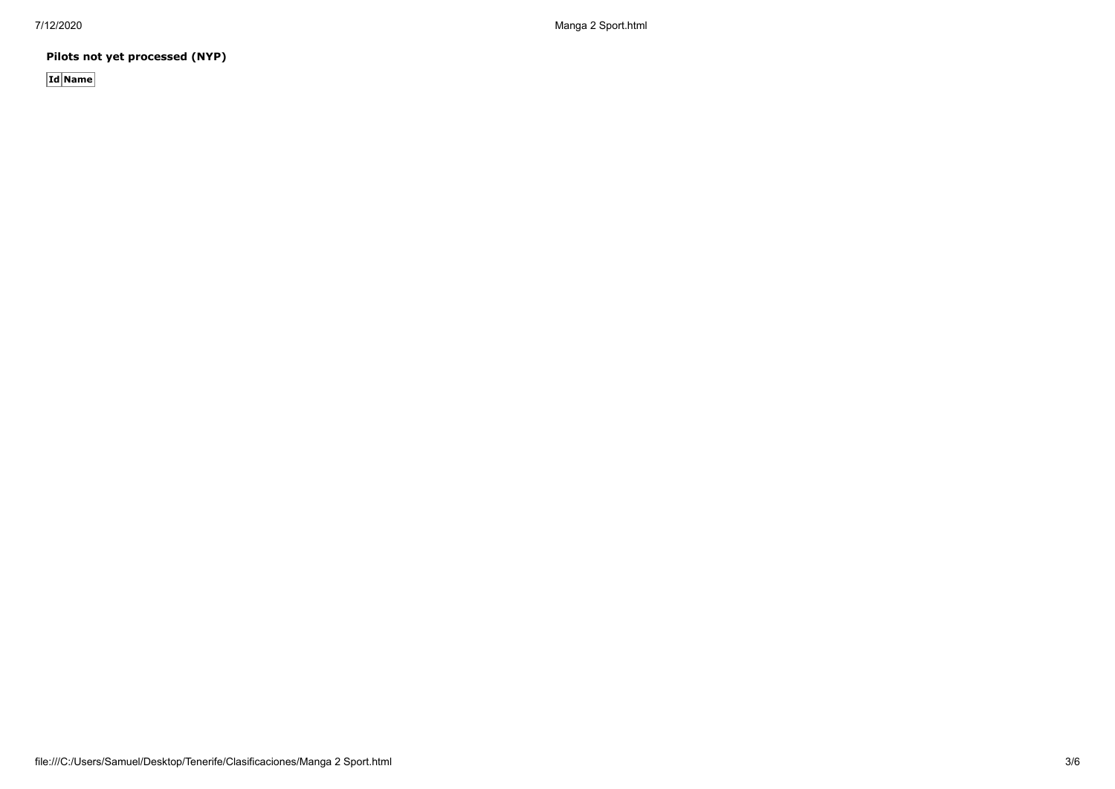**Pilots not yet processed (NYP)**

**Id Name**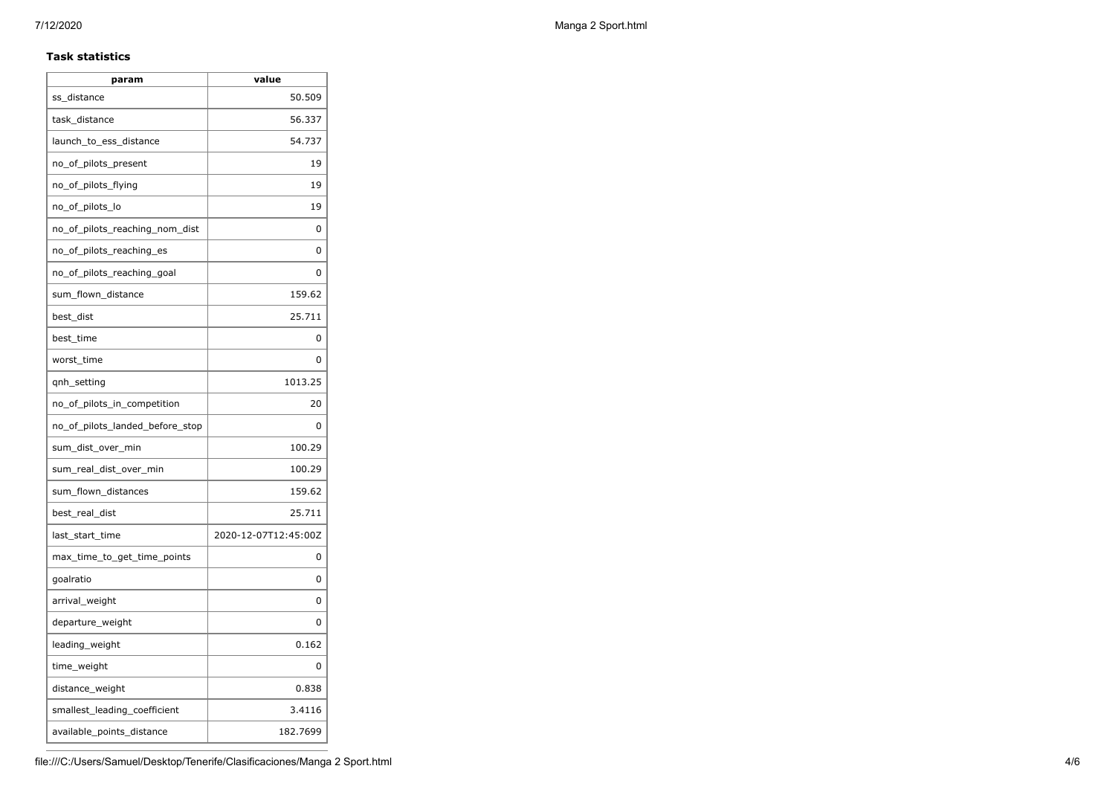#### **Task statistics**

| param                           | value                |
|---------------------------------|----------------------|
| ss distance                     | 50.509               |
| task distance                   | 56.337               |
| launch_to_ess_distance          | 54.737               |
| no_of_pilots_present            | 19                   |
| no_of_pilots_flying             | 19                   |
| no_of_pilots_lo                 | 19                   |
| no_of_pilots_reaching_nom_dist  | 0                    |
| no_of_pilots_reaching_es        | 0                    |
| no_of_pilots_reaching_goal      | O                    |
| sum_flown_distance              | 159.62               |
| best_dist                       | 25.711               |
| best time                       | 0                    |
| worst_time                      | 0                    |
| qnh_setting                     | 1013.25              |
| no_of_pilots_in_competition     | 20                   |
| no of pilots landed before stop | 0                    |
| sum_dist_over_min               | 100.29               |
| sum_real_dist_over_min          | 100.29               |
| sum_flown_distances             | 159.62               |
| best_real_dist                  | 25.711               |
| last_start_time                 | 2020-12-07T12:45:00Z |
| max_time_to_get_time_points     | 0                    |
| goalratio                       | 0                    |
| arrival_weight                  | 0                    |
| departure_weight                | 0                    |
| leading_weight                  | 0.162                |
| time_weight                     | 0                    |
| distance_weight                 | 0.838                |
| smallest_leading_coefficient    | 3.4116               |
| available_points_distance       | 182.7699             |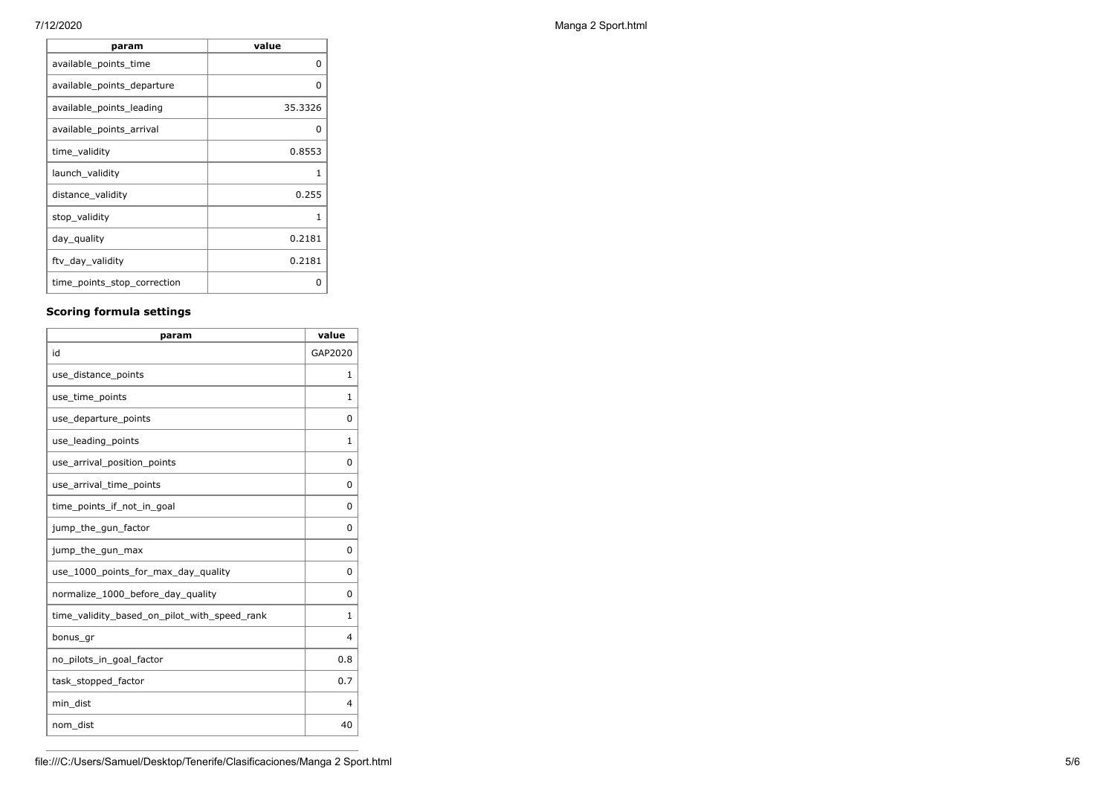| param                       | value   |
|-----------------------------|---------|
| available_points_time       | 0       |
| available_points_departure  | O       |
| available_points_leading    | 35.3326 |
| available_points_arrival    | 0       |
| time_validity               | 0.8553  |
| launch_validity             | 1       |
| distance_validity           | 0.255   |
| stop_validity               | 1       |
| day_quality                 | 0.2181  |
| ftv_day_validity            | 0.2181  |
| time_points_stop_correction | Ω       |

#### **Scoring formula settings**

| param                                        | value    |
|----------------------------------------------|----------|
| id                                           | GAP2020  |
| use_distance_points                          | 1        |
| use_time_points                              | 1        |
| use_departure_points                         | $\Omega$ |
| use_leading_points                           | 1        |
| use_arrival_position_points                  | $\Omega$ |
| use_arrival_time_points                      | $\Omega$ |
| time points if not in goal                   | 0        |
| jump_the_gun_factor                          | $\Omega$ |
| jump_the_gun_max                             | $\Omega$ |
| use_1000_points_for_max_day_quality          | $\Omega$ |
| normalize_1000_before_day_quality            | $\Omega$ |
| time_validity_based_on_pilot_with_speed_rank | 1        |
| bonus_gr                                     | 4        |
| no pilots in goal factor                     | 0.8      |
| task_stopped_factor                          | 0.7      |
| min_dist                                     | 4        |
| nom_dist                                     | 40       |